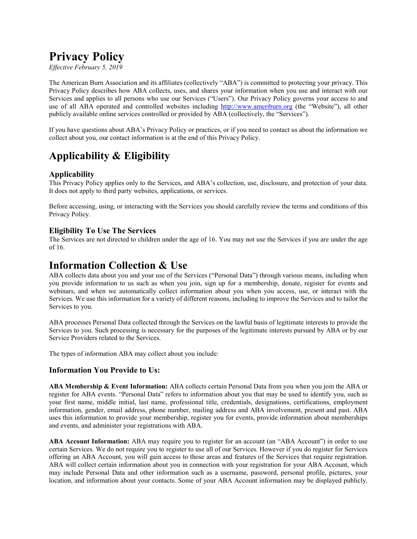# **Privacy Policy**

*Effective February 5, 2019*

The American Burn Association and its affiliates (collectively "ABA") is committed to protecting your privacy. This Privacy Policy describes how ABA collects, uses, and shares your information when you use and interact with our Services and applies to all persons who use our Services ("Users"). Our Privacy Policy governs your access to and use of all ABA operated and controlled websites including [http://www.ameriburn.org](http://www.ameriburn.org/) (the "Website"), all other publicly available online services controlled or provided by ABA (collectively, the "Services").

If you have questions about ABA's Privacy Policy or practices, or if you need to contact us about the information we collect about you, our contact information is at the end of this Privacy Policy.

# **Applicability & Eligibility**

#### **Applicability**

This Privacy Policy applies only to the Services, and ABA's collection, use, disclosure, and protection of your data. It does not apply to third party websites, applications, or services.

Before accessing, using, or interacting with the Services you should carefully review the terms and conditions of this Privacy Policy.

#### **Eligibility To Use The Services**

The Services are not directed to children under the age of 16. You may not use the Services if you are under the age of 16.

### **Information Collection & Use**

ABA collects data about you and your use of the Services ("Personal Data") through various means, including when you provide information to us such as when you join, sign up for a membership, donate, register for events and webinars, and when we automatically collect information about you when you access, use, or interact with the Services. We use this information for a variety of different reasons, including to improve the Services and to tailor the Services to you.

ABA processes Personal Data collected through the Services on the lawful basis of legitimate interests to provide the Services to you. Such processing is necessary for the purposes of the legitimate interests pursued by ABA or by our Service Providers related to the Services.

The types of information ABA may collect about you include:

#### **Information You Provide to Us:**

**ABA Membership & Event Information:** ABA collects certain Personal Data from you when you join the ABA or register for ABA events. "Personal Data" refers to information about you that may be used to identify you, such as your first name, middle initial, last name, professional title, credentials, designations, certifications, employment information, gender, email address, phone number, mailing address and ABA involvement, present and past. ABA uses this information to provide your membership, register you for events, provide information about memberships and events, and administer your registrations with ABA.

**ABA Account Information:** ABA may require you to register for an account (an "ABA Account") in order to use certain Services. We do not require you to register to use all of our Services. However if you do register for Services offering an ABA Account, you will gain access to those areas and features of the Services that require registration. ABA will collect certain information about you in connection with your registration for your ABA Account, which may include Personal Data and other information such as a username, password, personal profile, pictures, your location, and information about your contacts. Some of your ABA Account information may be displayed publicly.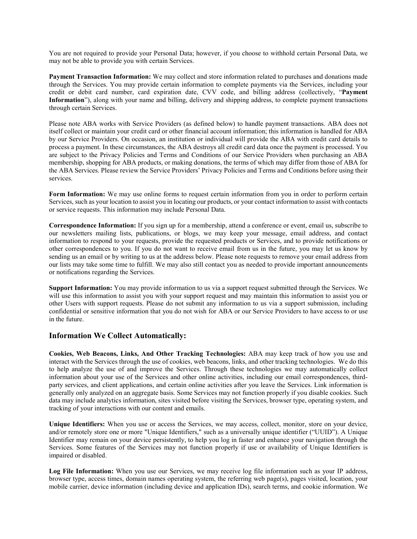You are not required to provide your Personal Data; however, if you choose to withhold certain Personal Data, we may not be able to provide you with certain Services.

**Payment Transaction Information:** We may collect and store information related to purchases and donations made through the Services. You may provide certain information to complete payments via the Services, including your credit or debit card number, card expiration date, CVV code, and billing address (collectively, "**Payment Information**"), along with your name and billing, delivery and shipping address, to complete payment transactions through certain Services.

Please note ABA works with Service Providers (as defined below) to handle payment transactions. ABA does not itself collect or maintain your credit card or other financial account information; this information is handled for ABA by our Service Providers. On occasion, an institution or individual will provide the ABA with credit card details to process a payment. In these circumstances, the ABA destroys all credit card data once the payment is processed. You are subject to the Privacy Policies and Terms and Conditions of our Service Providers when purchasing an ABA membership, shopping for ABA products, or making donations, the terms of which may differ from those of ABA for the ABA Services. Please review the Service Providers' Privacy Policies and Terms and Conditions before using their services.

**Form Information:** We may use online forms to request certain information from you in order to perform certain Services, such as your location to assist you in locating our products, or your contact information to assist with contacts or service requests. This information may include Personal Data.

**Correspondence Information:** If you sign up for a membership, attend a conference or event, email us, subscribe to our newsletters mailing lists, publications, or blogs, we may keep your message, email address, and contact information to respond to your requests, provide the requested products or Services, and to provide notifications or other correspondences to you. If you do not want to receive email from us in the future, you may let us know by sending us an email or by writing to us at the address below. Please note requests to remove your email address from our lists may take some time to fulfill. We may also still contact you as needed to provide important announcements or notifications regarding the Services.

**Support Information:** You may provide information to us via a support request submitted through the Services. We will use this information to assist you with your support request and may maintain this information to assist you or other Users with support requests. Please do not submit any information to us via a support submission, including confidential or sensitive information that you do not wish for ABA or our Service Providers to have access to or use in the future.

#### **Information We Collect Automatically:**

**Cookies, Web Beacons, Links, And Other Tracking Technologies:** ABA may keep track of how you use and interact with the Services through the use of cookies, web beacons, links, and other tracking technologies. We do this to help analyze the use of and improve the Services. Through these technologies we may automatically collect information about your use of the Services and other online activities, including our email correspondences, thirdparty services, and client applications, and certain online activities after you leave the Services. Link information is generally only analyzed on an aggregate basis. Some Services may not function properly if you disable cookies. Such data may include analytics information, sites visited before visiting the Services, browser type, operating system, and tracking of your interactions with our content and emails.

**Unique Identifiers:** When you use or access the Services, we may access, collect, monitor, store on your device, and/or remotely store one or more "Unique Identifiers," such as a universally unique identifier ("UUID"). A Unique Identifier may remain on your device persistently, to help you log in faster and enhance your navigation through the Services. Some features of the Services may not function properly if use or availability of Unique Identifiers is impaired or disabled.

**Log File Information:** When you use our Services, we may receive log file information such as your IP address, browser type, access times, domain names operating system, the referring web page(s), pages visited, location, your mobile carrier, device information (including device and application IDs), search terms, and cookie information. We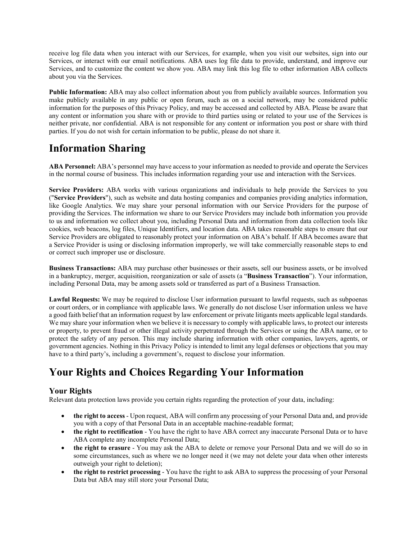receive log file data when you interact with our Services, for example, when you visit our websites, sign into our Services, or interact with our email notifications. ABA uses log file data to provide, understand, and improve our Services, and to customize the content we show you. ABA may link this log file to other information ABA collects about you via the Services.

**Public Information:** ABA may also collect information about you from publicly available sources. Information you make publicly available in any public or open forum, such as on a social network, may be considered public information for the purposes of this Privacy Policy, and may be accessed and collected by ABA. Please be aware that any content or information you share with or provide to third parties using or related to your use of the Services is neither private, nor confidential. ABA is not responsible for any content or information you post or share with third parties. If you do not wish for certain information to be public, please do not share it.

### **Information Sharing**

**ABA Personnel:** ABA's personnel may have access to your information as needed to provide and operate the Services in the normal course of business. This includes information regarding your use and interaction with the Services.

**Service Providers:** ABA works with various organizations and individuals to help provide the Services to you ("**Service Providers**"), such as website and data hosting companies and companies providing analytics information, like Google Analytics. We may share your personal information with our Service Providers for the purpose of providing the Services. The information we share to our Service Providers may include both information you provide to us and information we collect about you, including Personal Data and information from data collection tools like cookies, web beacons, log files, Unique Identifiers, and location data. ABA takes reasonable steps to ensure that our Service Providers are obligated to reasonably protect your information on ABA's behalf. If ABA becomes aware that a Service Provider is using or disclosing information improperly, we will take commercially reasonable steps to end or correct such improper use or disclosure.

**Business Transactions:** ABA may purchase other businesses or their assets, sell our business assets, or be involved in a bankruptcy, merger, acquisition, reorganization or sale of assets (a "**Business Transaction**"). Your information, including Personal Data, may be among assets sold or transferred as part of a Business Transaction.

**Lawful Requests:** We may be required to disclose User information pursuant to lawful requests, such as subpoenas or court orders, or in compliance with applicable laws. We generally do not disclose User information unless we have a good faith belief that an information request by law enforcement or private litigants meets applicable legal standards. We may share your information when we believe it is necessary to comply with applicable laws, to protect our interests or property, to prevent fraud or other illegal activity perpetrated through the Services or using the ABA name, or to protect the safety of any person. This may include sharing information with other companies, lawyers, agents, or government agencies. Nothing in this Privacy Policy is intended to limit any legal defenses or objections that you may have to a third party's, including a government's, request to disclose your information.

## **Your Rights and Choices Regarding Your Information**

#### **Your Rights**

Relevant data protection laws provide you certain rights regarding the protection of your data, including:

- **the right to access** Upon request, ABA will confirm any processing of your Personal Data and, and provide you with a copy of that Personal Data in an acceptable machine-readable format;
- **the right to rectification** You have the right to have ABA correct any inaccurate Personal Data or to have ABA complete any incomplete Personal Data;
- **the right to erasure** You may ask the ABA to delete or remove your Personal Data and we will do so in some circumstances, such as where we no longer need it (we may not delete your data when other interests outweigh your right to deletion);
- **the right to restrict processing** You have the right to ask ABA to suppress the processing of your Personal Data but ABA may still store your Personal Data;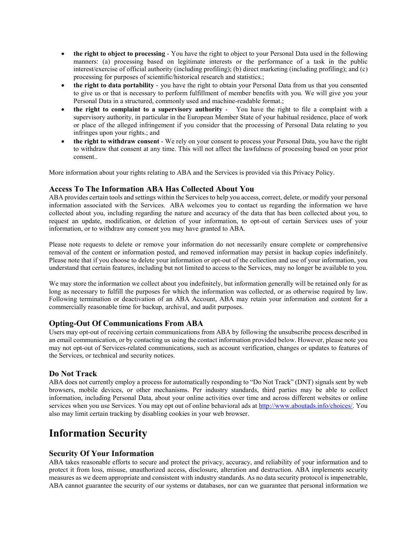- **the right to object to processing** You have the right to object to your Personal Data used in the following manners: (a) processing based on legitimate interests or the performance of a task in the public interest/exercise of official authority (including profiling); (b) direct marketing (including profiling); and (c) processing for purposes of scientific/historical research and statistics.;
- **the right to data portability** you have the right to obtain your Personal Data from us that you consented to give us or that is necessary to perform fulfillment of member benefits with you. We will give you your Personal Data in a structured, commonly used and machine-readable format.;
- **the right to complaint to a supervisory authority** You have the right to file a complaint with a supervisory authority, in particular in the European Member State of your habitual residence, place of work or place of the alleged infringement if you consider that the processing of Personal Data relating to you infringes upon your rights.; and
- **the right to withdraw consent** We rely on your consent to process your Personal Data, you have the right to withdraw that consent at any time. This will not affect the lawfulness of processing based on your prior consent..

More information about your rights relating to ABA and the Services is provided via this Privacy Policy.

#### **Access To The Information ABA Has Collected About You**

ABA provides certain tools and settings within the Services to help you access, correct, delete, or modify your personal information associated with the Services. ABA welcomes you to contact us regarding the information we have collected about you, including regarding the nature and accuracy of the data that has been collected about you, to request an update, modification, or deletion of your information, to opt-out of certain Services uses of your information, or to withdraw any consent you may have granted to ABA.

Please note requests to delete or remove your information do not necessarily ensure complete or comprehensive removal of the content or information posted, and removed information may persist in backup copies indefinitely. Please note that if you choose to delete your information or opt-out of the collection and use of your information, you understand that certain features, including but not limited to access to the Services, may no longer be available to you.

We may store the information we collect about you indefinitely, but information generally will be retained only for as long as necessary to fulfill the purposes for which the information was collected, or as otherwise required by law. Following termination or deactivation of an ABA Account, ABA may retain your information and content for a commercially reasonable time for backup, archival, and audit purposes.

#### **Opting-Out Of Communications From ABA**

Users may opt-out of receiving certain communications from ABA by following the unsubscribe process described in an email communication, or by contacting us using the contact information provided below. However, please note you may not opt-out of Services-related communications, such as account verification, changes or updates to features of the Services, or technical and security notices.

#### **Do Not Track**

ABA does not currently employ a process for automatically responding to "Do Not Track" (DNT) signals sent by web browsers, mobile devices, or other mechanisms. Per industry standards, third parties may be able to collect information, including Personal Data, about your online activities over time and across different websites or online services when you use Services. You may opt out of online behavioral ads at [http://www.aboutads.info/choices/.](http://www.aboutads.info/choices/) You also may limit certain tracking by disabling cookies in your web browser.

### **Information Security**

#### **Security Of Your Information**

ABA takes reasonable efforts to secure and protect the privacy, accuracy, and reliability of your information and to protect it from loss, misuse, unauthorized access, disclosure, alteration and destruction. ABA implements security measures as we deem appropriate and consistent with industry standards. As no data security protocol is impenetrable, ABA cannot guarantee the security of our systems or databases, nor can we guarantee that personal information we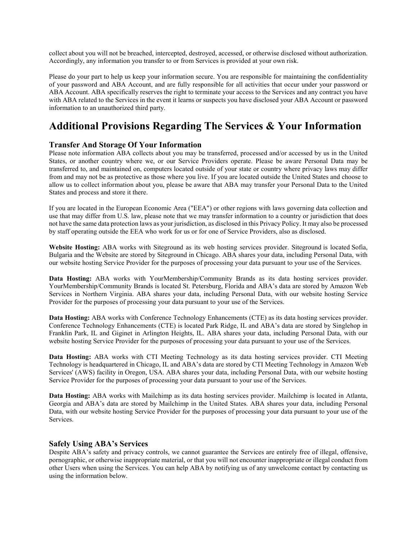collect about you will not be breached, intercepted, destroyed, accessed, or otherwise disclosed without authorization. Accordingly, any information you transfer to or from Services is provided at your own risk.

Please do your part to help us keep your information secure. You are responsible for maintaining the confidentiality of your password and ABA Account, and are fully responsible for all activities that occur under your password or ABA Account. ABA specifically reserves the right to terminate your access to the Services and any contract you have with ABA related to the Services in the event it learns or suspects you have disclosed your ABA Account or password information to an unauthorized third party.

### **Additional Provisions Regarding The Services & Your Information**

#### **Transfer And Storage Of Your Information**

Please note information ABA collects about you may be transferred, processed and/or accessed by us in the United States, or another country where we, or our Service Providers operate. Please be aware Personal Data may be transferred to, and maintained on, computers located outside of your state or country where privacy laws may differ from and may not be as protective as those where you live. If you are located outside the United States and choose to allow us to collect information about you, please be aware that ABA may transfer your Personal Data to the United States and process and store it there.

If you are located in the European Economic Area ("EEA") or other regions with laws governing data collection and use that may differ from U.S. law, please note that we may transfer information to a country or jurisdiction that does not have the same data protection laws as your jurisdiction, as disclosed in this Privacy Policy. It may also be processed by staff operating outside the EEA who work for us or for one of Service Providers, also as disclosed.

**Website Hosting:** ABA works with Siteground as its web hosting services provider. Siteground is located Sofia, Bulgaria and the Website are stored by Siteground in Chicago. ABA shares your data, including Personal Data, with our website hosting Service Provider for the purposes of processing your data pursuant to your use of the Services.

**Data Hosting:** ABA works with YourMembership/Community Brands as its data hosting services provider. YourMembership/Community Brands is located St. Petersburg, Florida and ABA's data are stored by Amazon Web Services in Northern Virginia. ABA shares your data, including Personal Data, with our website hosting Service Provider for the purposes of processing your data pursuant to your use of the Services.

**Data Hosting:** ABA works with Conference Technology Enhancements (CTE) as its data hosting services provider. Conference Technology Enhancements (CTE) is located Park Ridge, IL and ABA's data are stored by Singlehop in Franklin Park, IL and Giginet in Arlington Heights, IL. ABA shares your data, including Personal Data, with our website hosting Service Provider for the purposes of processing your data pursuant to your use of the Services.

**Data Hosting:** ABA works with CTI Meeting Technology as its data hosting services provider. CTI Meeting Technology is headquartered in Chicago, IL and ABA's data are stored by CTI Meeting Technology in Amazon Web Services' (AWS) facility in Oregon, USA. ABA shares your data, including Personal Data, with our website hosting Service Provider for the purposes of processing your data pursuant to your use of the Services.

**Data Hosting:** ABA works with Mailchimp as its data hosting services provider. Mailchimp is located in Atlanta, Georgia and ABA's data are stored by Mailchimp in the United States. ABA shares your data, including Personal Data, with our website hosting Service Provider for the purposes of processing your data pursuant to your use of the Services.

#### **Safely Using ABA's Services**

Despite ABA's safety and privacy controls, we cannot guarantee the Services are entirely free of illegal, offensive, pornographic, or otherwise inappropriate material, or that you will not encounter inappropriate or illegal conduct from other Users when using the Services. You can help ABA by notifying us of any unwelcome contact by contacting us using the information below.